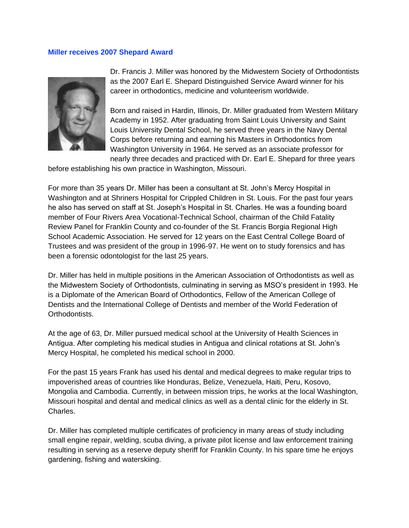## **Miller receives 2007 Shepard Award**



Dr. Francis J. Miller was honored by the Midwestern Society of Orthodontists as the 2007 Earl E. Shepard Distinguished Service Award winner for his career in orthodontics, medicine and volunteerism worldwide.

Born and raised in Hardin, Illinois, Dr. Miller graduated from Western Military Academy in 1952. After graduating from Saint Louis University and Saint Louis University Dental School, he served three years in the Navy Dental Corps before returning and earning his Masters in Orthodontics from Washington University in 1964. He served as an associate professor for nearly three decades and practiced with Dr. Earl E. Shepard for three years

before establishing his own practice in Washington, Missouri.

For more than 35 years Dr. Miller has been a consultant at St. John's Mercy Hospital in Washington and at Shriners Hospital for Crippled Children in St. Louis. For the past four years he also has served on staff at St. Joseph's Hospital in St. Charles. He was a founding board member of Four Rivers Area Vocational-Technical School, chairman of the Child Fatality Review Panel for Franklin County and co-founder of the St. Francis Borgia Regional High School Academic Association. He served for 12 years on the East Central College Board of Trustees and was president of the group in 1996-97. He went on to study forensics and has been a forensic odontologist for the last 25 years.

Dr. Miller has held in multiple positions in the American Association of Orthodontists as well as the Midwestern Society of Orthodontists, culminating in serving as MSO's president in 1993. He is a Diplomate of the American Board of Orthodontics, Fellow of the American College of Dentists and the International College of Dentists and member of the World Federation of **Orthodontists** 

At the age of 63, Dr. Miller pursued medical school at the University of Health Sciences in Antigua. After completing his medical studies in Antigua and clinical rotations at St. John's Mercy Hospital, he completed his medical school in 2000.

For the past 15 years Frank has used his dental and medical degrees to make regular trips to impoverished areas of countries like Honduras, Belize, Venezuela, Haiti, Peru, Kosovo, Mongolia and Cambodia. Currently, in between mission trips, he works at the local Washington, Missouri hospital and dental and medical clinics as well as a dental clinic for the elderly in St. Charles.

Dr. Miller has completed multiple certificates of proficiency in many areas of study including small engine repair, welding, scuba diving, a private pilot license and law enforcement training resulting in serving as a reserve deputy sheriff for Franklin County. In his spare time he enjoys gardening, fishing and waterskiing.